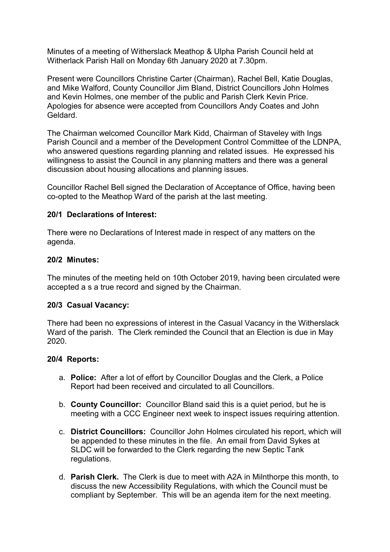Minutes of a meeting of Witherslack Meathop & Ulpha Parish Council held at Witherlack Parish Hall on Monday 6th January 2020 at 7.30pm.

Present were Councillors Christine Carter (Chairman), Rachel Bell, Katie Douglas, and Mike Walford, County Councillor Jim Bland, District Councillors John Holmes and Kevin Holmes, one member of the public and Parish Clerk Kevin Price. Apologies for absence were accepted from Councillors Andy Coates and John Geldard.

The Chairman welcomed Councillor Mark Kidd, Chairman of Staveley with Ings Parish Council and a member of the Development Control Committee of the LDNPA, who answered questions regarding planning and related issues. He expressed his willingness to assist the Council in any planning matters and there was a general discussion about housing allocations and planning issues.

Councillor Rachel Bell signed the Declaration of Acceptance of Office, having been co-opted to the Meathop Ward of the parish at the last meeting.

## 20/1 Declarations of Interest:

There were no Declarations of Interest made in respect of any matters on the agenda.

#### 20/2 Minutes:

The minutes of the meeting held on 10th October 2019, having been circulated were accepted a s a true record and signed by the Chairman.

#### 20/3 Casual Vacancy:

There had been no expressions of interest in the Casual Vacancy in the Witherslack Ward of the parish. The Clerk reminded the Council that an Election is due in May 2020.

#### 20/4 Reports:

- a. Police: After a lot of effort by Councillor Douglas and the Clerk, a Police Report had been received and circulated to all Councillors.
- b. County Councillor: Councillor Bland said this is a quiet period, but he is meeting with a CCC Engineer next week to inspect issues requiring attention.
- c. District Councillors: Councillor John Holmes circulated his report, which will be appended to these minutes in the file. An email from David Sykes at SLDC will be forwarded to the Clerk regarding the new Septic Tank regulations.
- d. Parish Clerk. The Clerk is due to meet with A2A in Milnthorpe this month, to discuss the new Accessibility Regulations, with which the Council must be compliant by September. This will be an agenda item for the next meeting.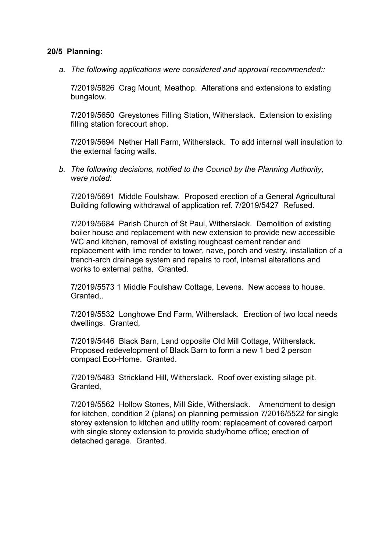### 20/5 Planning:

*a. The following applications were considered and approval recommended::*

7/2019/5826 Crag Mount, Meathop. Alterations and extensions to existing bungalow.

7/2019/5650 Greystones Filling Station, Witherslack. Extension to existing filling station forecourt shop.

7/2019/5694 Nether Hall Farm, Witherslack. To add internal wall insulation to the external facing walls.

*b. The following decisions, notified to the Council by the Planning Authority, were noted:*

7/2019/5691 Middle Foulshaw. Proposed erection of a General Agricultural Building following withdrawal of application ref. 7/2019/5427 Refused.

7/2019/5684 Parish Church of St Paul, Witherslack. Demolition of existing boiler house and replacement with new extension to provide new accessible WC and kitchen, removal of existing roughcast cement render and replacement with lime render to tower, nave, porch and vestry, installation of a trench-arch drainage system and repairs to roof, internal alterations and works to external paths. Granted.

7/2019/5573 1 Middle Foulshaw Cottage, Levens. New access to house. Granted,.

7/2019/5532 Longhowe End Farm, Witherslack. Erection of two local needs dwellings. Granted,

7/2019/5446 Black Barn, Land opposite Old Mill Cottage, Witherslack. Proposed redevelopment of Black Barn to form a new 1 bed 2 person compact Eco-Home. Granted.

7/2019/5483 Strickland Hill, Witherslack. Roof over existing silage pit. Granted,

7/2019/5562 Hollow Stones, Mill Side, Witherslack. Amendment to design for kitchen, condition 2 (plans) on planning permission 7/2016/5522 for single storey extension to kitchen and utility room: replacement of covered carport with single storey extension to provide study/home office; erection of detached garage. Granted.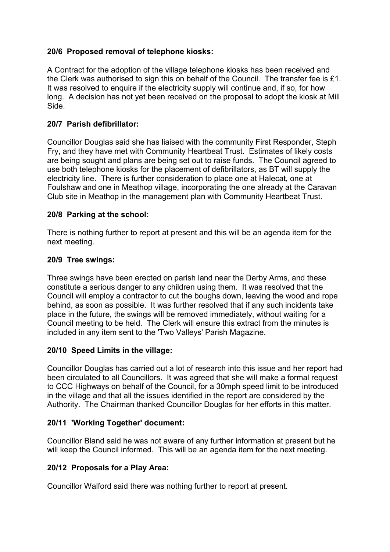# 20/6 Proposed removal of telephone kiosks:

A Contract for the adoption of the village telephone kiosks has been received and the Clerk was authorised to sign this on behalf of the Council. The transfer fee is £1. It was resolved to enquire if the electricity supply will continue and, if so, for how long. A decision has not yet been received on the proposal to adopt the kiosk at Mill Side.

## 20/7 Parish defibrillator:

Councillor Douglas said she has liaised with the community First Responder, Steph Fry, and they have met with Community Heartbeat Trust. Estimates of likely costs are being sought and plans are being set out to raise funds. The Council agreed to use both telephone kiosks for the placement of defibrillators, as BT will supply the electricity line. There is further consideration to place one at Halecat, one at Foulshaw and one in Meathop village, incorporating the one already at the Caravan Club site in Meathop in the management plan with Community Heartbeat Trust.

## 20/8 Parking at the school:

There is nothing further to report at present and this will be an agenda item for the next meeting.

## 20/9 Tree swings:

Three swings have been erected on parish land near the Derby Arms, and these constitute a serious danger to any children using them. It was resolved that the Council will employ a contractor to cut the boughs down, leaving the wood and rope behind, as soon as possible. It was further resolved that if any such incidents take place in the future, the swings will be removed immediately, without waiting for a Council meeting to be held. The Clerk will ensure this extract from the minutes is included in any item sent to the 'Two Valleys' Parish Magazine.

# 20/10 Speed Limits in the village:

Councillor Douglas has carried out a lot of research into this issue and her report had been circulated to all Councillors. It was agreed that she will make a formal request to CCC Highways on behalf of the Council, for a 30mph speed limit to be introduced in the village and that all the issues identified in the report are considered by the Authority. The Chairman thanked Councillor Douglas for her efforts in this matter.

# 20/11 'Working Together' document:

Councillor Bland said he was not aware of any further information at present but he will keep the Council informed. This will be an agenda item for the next meeting.

# 20/12 Proposals for a Play Area:

Councillor Walford said there was nothing further to report at present.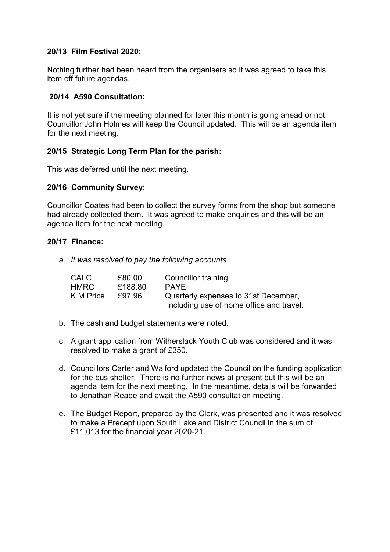## 20/13 Film Festival 2020:

Nothing further had been heard from the organisers so it was agreed to take this item off future agendas.

## 20/14 A590 Consultation:

It is not yet sure if the meeting planned for later this month is going ahead or not. Councillor John Holmes will keep the Council updated. This will be an agenda item for the next meeting.

## 20/15 Strategic Long Term Plan for the parish:

This was deferred until the next meeting.

## 20/16 Community Survey:

Councillor Coates had been to collect the survey forms from the shop but someone had already collected them. It was agreed to make enquiries and this will be an agenda item for the next meeting.

### 20/17 Finance:

*a. It was resolved to pay the following accounts:*

| CALC        | £80.00  | Councillor training                      |
|-------------|---------|------------------------------------------|
| <b>HMRC</b> | £188.80 | <b>PAYF</b>                              |
| K M Price   | £97.96  | Quarterly expenses to 31st December,     |
|             |         | including use of home office and travel. |

- b. The cash and budget statements were noted.
- c. A grant application from Witherslack Youth Club was considered and it was resolved to make a grant of £350.
- d. Councillors Carter and Walford updated the Council on the funding application for the bus shelter. There is no further news at present but this will be an agenda item for the next meeting. In the meantime, details will be forwarded to Jonathan Reade and await the A590 consultation meeting.
- e. The Budget Report, prepared by the Clerk, was presented and it was resolved to make a Precept upon South Lakeland District Council in the sum of £11,013 for the financial year 2020-21.